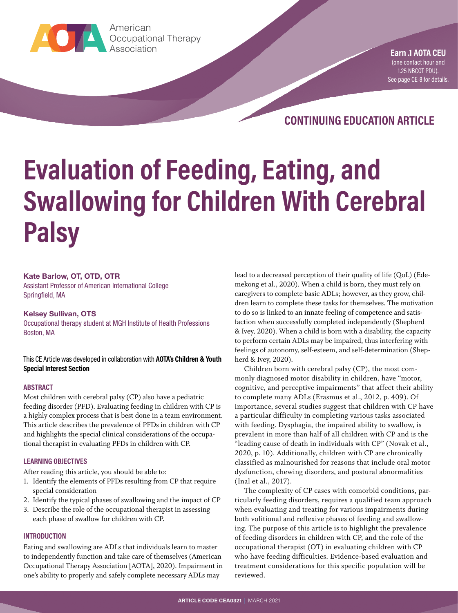

**Earn Contact Contact CEU(DECUTE:** Association American

**Earn .1 AOTA CEU** (one contact hour and 1.25 NBCOT PDU). [See page CE-8 for details.](#page-7-0)

**CONTINUING EDUCATION ARTICLE**

# **Evaluation of Feeding, Eating, and Swallowing for Children With Cerebral Palsy**

#### **Kate Barlow, OT, OTD, OTR**

Assistant Professor of American International College Springfield, MA

#### **Kelsey Sullivan, OTS**

Occupational therapy student at MGH Institute of Health Professions Boston, MA

This CE Article was developed in collaboration with **AOTA's Children & Youth Special Interest Section**

#### **ABSTRACT**

Most children with cerebral palsy (CP) also have a pediatric feeding disorder (PFD). Evaluating feeding in children with CP is a highly complex process that is best done in a team environment. This article describes the prevalence of PFDs in children with CP and highlights the special clinical considerations of the occupational therapist in evaluating PFDs in children with CP.

#### **LEARNING OBJECTIVES**

After reading this article, you should be able to:

- 1. Identify the elements of PFDs resulting from CP that require special consideration
- 2. Identify the typical phases of swallowing and the impact of CP
- 3. Describe the role of the occupational therapist in assessing each phase of swallow for children with CP.

#### **INTRODUCTION**

Eating and swallowing are ADLs that individuals learn to master to independently function and take care of themselves (American Occupational Therapy Association [AOTA], 2020). Impairment in one's ability to properly and safely complete necessary ADLs may

lead to a decreased perception of their quality of life (QoL) (Edemekong et al., 2020). When a child is born, they must rely on caregivers to complete basic ADLs; however, as they grow, children learn to complete these tasks for themselves. The motivation to do so is linked to an innate feeling of competence and satisfaction when successfully completed independently (Shepherd & Ivey, 2020). When a child is born with a disability, the capacity to perform certain ADLs may be impaired, thus interfering with feelings of autonomy, self-esteem, and self-determination (Shepherd & Ivey, 2020).

Children born with cerebral palsy (CP), the most commonly diagnosed motor disability in children, have "motor, cognitive, and perceptive impairments" that affect their ability to complete many ADLs (Erasmus et al., 2012, p. 409). Of importance, several studies suggest that children with CP have a particular difficulty in completing various tasks associated with feeding. Dysphagia, the impaired ability to swallow, is prevalent in more than half of all children with CP and is the "leading cause of death in individuals with CP" (Novak et al., 2020, p. 10). Additionally, children with CP are chronically classified as malnourished for reasons that include oral motor dysfunction, chewing disorders, and postural abnormalities (Inal et al., 2017).

The complexity of CP cases with comorbid conditions, particularly feeding disorders, requires a qualified team approach when evaluating and treating for various impairments during both volitional and reflexive phases of feeding and swallowing. The purpose of this article is to highlight the prevalence of feeding disorders in children with CP, and the role of the occupational therapist (OT) in evaluating children with CP who have feeding difficulties. Evidence-based evaluation and treatment considerations for this specific population will be reviewed.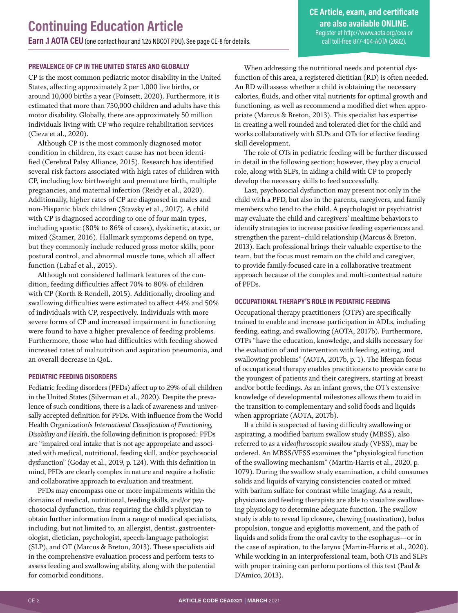#### **PREVALENCE OF CP IN THE UNITED STATES AND GLOBALLY**

CP is the most common pediatric motor disability in the United States, affecting approximately 2 per 1,000 live births, or around 10,000 births a year (Poinsett, 2020). Furthermore, it is estimated that more than 750,000 children and adults have this motor disability. Globally, there are approximately 50 million individuals living with CP who require rehabilitation services (Cieza et al., 2020).

Although CP is the most commonly diagnosed motor condition in children, its exact cause has not been identified (Cerebral Palsy Alliance, 2015). Research has identified several risk factors associated with high rates of children with CP, including low birthweight and premature birth, multiple pregnancies, and maternal infection (Reidy et al., 2020). Additionally, higher rates of CP are diagnosed in males and non-Hispanic black children (Stavsky et al., 2017). A child with CP is diagnosed according to one of four main types, including spastic (80% to 86% of cases), dyskinetic, ataxic, or mixed (Stamer, 2016). Hallmark symptoms depend on type, but they commonly include reduced gross motor skills, poor postural control, and abnormal muscle tone, which all affect function (Labaf et al., 2015).

Although not considered hallmark features of the condition, feeding difficulties affect 70% to 80% of children with CP (Korth & Rendell, 2015). Additionally, drooling and swallowing difficulties were estimated to affect 44% and 50% of individuals with CP, respectively. Individuals with more severe forms of CP and increased impairment in functioning were found to have a higher prevalence of feeding problems. Furthermore, those who had difficulties with feeding showed increased rates of malnutrition and aspiration pneumonia, and an overall decrease in QoL.

#### **PEDIATRIC FEEDING DISORDERS**

Pediatric feeding disorders (PFDs) affect up to 29% of all children in the United States (Silverman et al., 2020). Despite the prevalence of such conditions, there is a lack of awareness and universally accepted definition for PFDs. With influence from the World Health Organization's *International Classification of Functioning, Disability and Health*, the following definition is proposed: PFDs are "impaired oral intake that is not age appropriate and associated with medical, nutritional, feeding skill, and/or psychosocial dysfunction" (Goday et al., 2019, p. 124). With this definition in mind, PFDs are clearly complex in nature and require a holistic and collaborative approach to evaluation and treatment.

PFDs may encompass one or more impairments within the domains of medical, nutritional, feeding skills, and/or psychosocial dysfunction, thus requiring the child's physician to obtain further information from a range of medical specialists, including, but not limited to, an allergist, dentist, gastroenterologist, dietician, psychologist, speech-language pathologist (SLP), and OT (Marcus & Breton, 2013). These specialists aid in the comprehensive evaluation process and perform tests to assess feeding and swallowing ability, along with the potential for comorbid conditions.

When addressing the nutritional needs and potential dysfunction of this area, a registered dietitian (RD) is often needed. An RD will assess whether a child is obtaining the necessary calories, fluids, and other vital nutrients for optimal growth and functioning, as well as recommend a modified diet when appropriate (Marcus & Breton, 2013). This specialist has expertise in creating a well rounded and tolerated diet for the child and works collaboratively with SLPs and OTs for effective feeding skill development.

The role of OTs in pediatric feeding will be further discussed in detail in the following section; however, they play a crucial role, along with SLPs, in aiding a child with CP to properly develop the necessary skills to feed successfully.

Last, psychosocial dysfunction may present not only in the child with a PFD, but also in the parents, caregivers, and family members who tend to the child. A psychologist or psychiatrist may evaluate the child and caregivers' mealtime behaviors to identify strategies to increase positive feeding experiences and strengthen the parent–child relationship (Marcus & Breton, 2013). Each professional brings their valuable expertise to the team, but the focus must remain on the child and caregiver, to provide family-focused care in a collaborative treatment approach because of the complex and multi-contextual nature of PFDs.

#### **OCCUPATIONAL THERAPY'S ROLE IN PEDIATRIC FEEDING**

Occupational therapy practitioners (OTPs) are specifically trained to enable and increase participation in ADLs, including feeding, eating, and swallowing (AOTA, 2017b). Furthermore, OTPs "have the education, knowledge, and skills necessary for the evaluation of and intervention with feeding, eating, and swallowing problems" (AOTA, 2017b, p. 1). The lifespan focus of occupational therapy enables practitioners to provide care to the youngest of patients and their caregivers, starting at breast and/or bottle feedings. As an infant grows, the OT's extensive knowledge of developmental milestones allows them to aid in the transition to complementary and solid foods and liquids when appropriate (AOTA, 2017b).

If a child is suspected of having difficulty swallowing or aspirating, a modified barium swallow study (MBSS), also referred to as a *videofluroscopic swallow study* (VFSS), may be ordered. An MBSS/VFSS examines the "physiological function of the swallowing mechanism" (Martin-Harris et al., 2020, p. 1079). During the swallow study examination, a child consumes solids and liquids of varying consistencies coated or mixed with barium sulfate for contrast while imaging. As a result, physicians and feeding therapists are able to visualize swallowing physiology to determine adequate function. The swallow study is able to reveal lip closure, chewing (mastication), bolus propulsion, tongue and epiglottis movement, and the path of liquids and solids from the oral cavity to the esophagus—or in the case of aspiration, to the larynx (Martin-Harris et al., 2020). While working in an interprofessional team, both OTs and SLPs with proper training can perform portions of this test (Paul & D'Amico, 2013).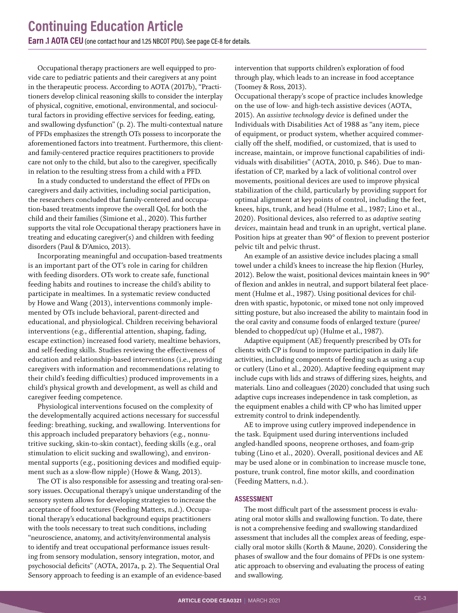Occupational therapy practioners are well equipped to provide care to pediatric patients and their caregivers at any point in the therapeutic process. According to AOTA (2017b), "Practitioners develop clinical reasoning skills to consider the interplay of physical, cognitive, emotional, environmental, and sociocultural factors in providing effective services for feeding, eating, and swallowing dysfunction" (p. 2). The multi-contextual nature of PFDs emphasizes the strength OTs possess to incorporate the aforementioned factors into treatment. Furthermore, this clientand family-centered practice requires practitioners to provide care not only to the child, but also to the caregiver, specifically in relation to the resulting stress from a child with a PFD.

In a study conducted to understand the effect of PFDs on caregivers and daily activities, including social participation, the researchers concluded that family-centered and occupation-based treatments improve the overall QoL for both the child and their families (Simione et al., 2020). This further supports the vital role Occupational therapy practioners have in treating and educating caregiver(s) and children with feeding disorders (Paul & D'Amico, 2013).

Incorporating meaningful and occupation-based treatments is an important part of the OT's role in caring for children with feeding disorders. OTs work to create safe, functional feeding habits and routines to increase the child's ability to participate in mealtimes. In a systematic review conducted by Howe and Wang (2013), interventions commonly implemented by OTs include behavioral, parent-directed and educational, and physiological. Children receiving behavioral interventions (e.g., differential attention, shaping, fading, escape extinction) increased food variety, mealtime behaviors, and self-feeding skills. Studies reviewing the effectiveness of education and relationship-based interventions (i.e., providing caregivers with information and recommendations relating to their child's feeding difficulties) produced improvements in a child's physical growth and development, as well as child and caregiver feeding competence.

Physiological interventions focused on the complexity of the developmentally acquired actions necessary for successful feeding: breathing, sucking, and swallowing. Interventions for this approach included preparatory behaviors (e.g., nonnutritive sucking, skin-to-skin contact), feeding skills (e.g., oral stimulation to elicit sucking and swallowing), and environmental supports (e.g., positioning devices and modified equipment such as a slow-flow nipple) (Howe & Wang, 2013).

The OT is also responsible for assessing and treating oral-sensory issues. Occupational therapy's unique understanding of the sensory system allows for developing strategies to increase the acceptance of food textures (Feeding Matters, n.d.). Occupational therapy's educational background equips practitioners with the tools necessary to treat such conditions, including "neuroscience, anatomy, and activity/environmental analysis to identify and treat occupational performance issues resulting from sensory modulation, sensory integration, motor, and psychosocial deficits" (AOTA, 2017a, p. 2). The Sequential Oral Sensory approach to feeding is an example of an evidence-based

intervention that supports children's exploration of food through play, which leads to an increase in food acceptance (Toomey & Ross, 2013).

Occupational therapy's scope of practice includes knowledge on the use of low- and high-tech assistive devices (AOTA, 2015). An *assistive technology device* is defined under the Individuals with Disabilities Act of 1988 as "any item, piece of equipment, or product system, whether acquired commercially off the shelf, modified, or customized, that is used to increase, maintain, or improve functional capabilities of individuals with disabilities" (AOTA, 2010, p. S46). Due to manifestation of CP, marked by a lack of volitional control over movements, positional devices are used to improve physical stabilization of the child, particularly by providing support for optimal alignment at key points of control, including the feet, knees, hips, trunk, and head (Hulme et al., 1987; Lino et al., 2020). Positional devices, also referred to as *adaptive seating devices*, maintain head and trunk in an upright, vertical plane. Position hips at greater than 90° of flexion to prevent posterior pelvic tilt and pelvic thrust.

An example of an assistive device includes placing a small towel under a child's knees to increase the hip flexion (Hurley, 2012). Below the waist, positional devices maintain knees in 90° of flexion and ankles in neutral, and support bilateral feet placement (Hulme et al., 1987). Using positional devices for children with spastic, hypotonic, or mixed tone not only improved sitting posture, but also increased the ability to maintain food in the oral cavity and consume foods of enlarged texture (puree/ blended to chopped/cut up) (Hulme et al., 1987).

Adaptive equipment (AE) frequently prescribed by OTs for clients with CP is found to improve participation in daily life activities, including components of feeding such as using a cup or cutlery (Lino et al., 2020). Adaptive feeding equipment may include cups with lids and straws of differing sizes, heights, and materials. Lino and colleagues (2020) concluded that using such adaptive cups increases independence in task completion, as the equipment enables a child with CP who has limited upper extremity control to drink independently.

AE to improve using cutlery improved independence in the task. Equipment used during interventions included angled-handled spoons, neoprene orthoses, and foam-grip tubing (Lino et al., 2020). Overall, positional devices and AE may be used alone or in combination to increase muscle tone, posture, trunk control, fine motor skills, and coordination (Feeding Matters, n.d.).

#### **ASSESSMENT**

The most difficult part of the assessment process is evaluating oral motor skills and swallowing function. To date, there is not a comprehensive feeding and swallowing standardized assessment that includes all the complex areas of feeding, especially oral motor skills (Korth & Maune, 2020). Considering the phases of swallow and the four domains of PFDs is one systematic approach to observing and evaluating the process of eating and swallowing.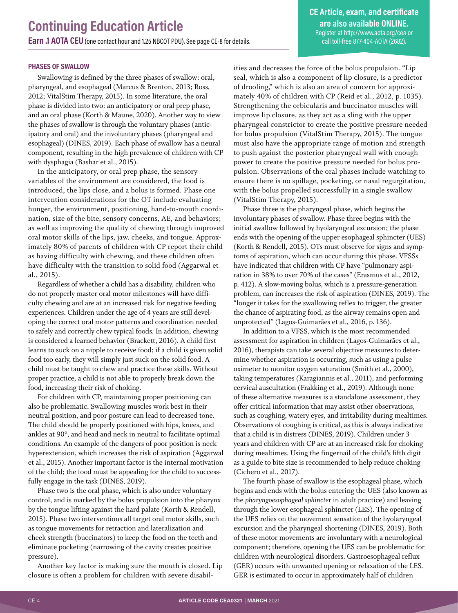#### **PHASES OF SWALLOW**

Swallowing is defined by the three phases of swallow: oral, pharyngeal, and esophageal (Marcus & Brenton, 2013; Ross, 2012; VitalStim Therapy, 2015). In some literature, the oral phase is divided into two: an anticipatory or oral prep phase, and an oral phase (Korth & Maune, 2020). Another way to view the phases of swallow is through the voluntary phases (anticipatory and oral) and the involuntary phases (pharyngeal and esophageal) (DINES, 2019). Each phase of swallow has a neural component, resulting in the high prevalence of children with CP with dysphagia (Bashar et al., 2015).

In the anticipatory, or oral prep phase, the sensory variables of the environment are considered, the food is introduced, the lips close, and a bolus is formed. Phase one intervention considerations for the OT include evaluating hunger, the environment, positioning, hand-to-mouth coordination, size of the bite, sensory concerns, AE, and behaviors; as well as improving the quality of chewing through improved oral motor skills of the lips, jaw, cheeks, and tongue. Approximately 80% of parents of children with CP report their child as having difficulty with chewing, and these children often have difficulty with the transition to solid food (Aggarwal et al., 2015).

Regardless of whether a child has a disability, children who do not properly master oral motor milestones will have difficulty chewing and are at an increased risk for negative feeding experiences. Children under the age of 4 years are still developing the correct oral motor patterns and coordination needed to safely and correctly chew typical foods. In addition, chewing is considered a learned behavior (Brackett, 2016). A child first learns to suck on a nipple to receive food; if a child is given solid food too early, they will simply just suck on the solid food. A child must be taught to chew and practice these skills. Without proper practice, a child is not able to properly break down the food, increasing their risk of choking.

For children with CP, maintaining proper positioning can also be problematic. Swallowing muscles work best in their neutral position, and poor posture can lead to decreased tone. The child should be properly positioned with hips, knees, and ankles at 90°, and head and neck in neutral to facilitate optimal conditions. An example of the dangers of poor position is neck hyperextension, which increases the risk of aspiration (Aggarwal et al., 2015). Another important factor is the internal motivation of the child; the food must be appealing for the child to successfully engage in the task (DINES, 2019).

Phase two is the oral phase, which is also under voluntary control, and is marked by the bolus propulsion into the pharynx by the tongue lifting against the hard palate (Korth & Rendell, 2015). Phase two interventions all target oral motor skills, such as tongue movements for retraction and lateralization and cheek strength (buccinators) to keep the food on the teeth and eliminate pocketing (narrowing of the cavity creates positive pressure).

Another key factor is making sure the mouth is closed. Lip closure is often a problem for children with severe disabilities and decreases the force of the bolus propulsion. "Lip seal, which is also a component of lip closure, is a predictor of drooling," which is also an area of concern for approximately 40% of children with CP (Reid et al., 2012, p. 1035). Strengthening the orbicularis and buccinator muscles will improve lip closure, as they act as a sling with the upper pharyngeal constrictor to create the positive pressure needed for bolus propulsion (VitalStim Therapy, 2015). The tongue must also have the appropriate range of motion and strength to push against the posterior pharyngeal wall with enough power to create the positive pressure needed for bolus propulsion. Observations of the oral phases include watching to ensure there is no spillage, pocketing, or nasal regurgitation, with the bolus propelled successfully in a single swallow (VitalStim Therapy, 2015).

Phase three is the pharyngeal phase, which begins the involuntary phases of swallow. Phase three begins with the initial swallow followed by hyolaryngeal excursion; the phase ends with the opening of the upper esophageal sphincter (UES) (Korth & Rendell, 2015). OTs must observe for signs and symptoms of aspiration, which can occur during this phase. VFSSs have indicated that children with CP have "pulmonary aspiration in 38% to over 70% of the cases" (Erasmus et al., 2012, p. 412). A slow-moving bolus, which is a pressure-generation problem, can increases the risk of aspiration (DINES, 2019). The "longer it takes for the swallowing reflex to trigger, the greater the chance of aspirating food, as the airway remains open and unprotected" (Lagos-Guimarães et al., 2016, p. 136).

In addition to a VFSS, which is the most recommended assessment for aspiration in children (Lagos-Guimarães et al., 2016), therapists can take several objective measures to determine whether aspiration is occurring, such as using a pulse oximeter to monitor oxygen saturation (Smith et al., 2000), taking temperatures (Karagiannis et al., 2011), and performing cervical auscultation (Frakking et al., 2019). Although none of these alternative measures is a standalone assessment, they offer critical information that may assist other observations, such as coughing, watery eyes, and irritability during mealtimes. Observations of coughing is critical, as this is always indicative that a child is in distress (DINES, 2019). Children under 3 years and children with CP are at an increased risk for choking during mealtimes. Using the fingernail of the child's fifth digit as a guide to bite size is recommended to help reduce choking (Cichero et al., 2017).

The fourth phase of swallow is the esophageal phase, which begins and ends with the bolus entering the UES (also known as the *pharyngoesophageal sphincter* in adult practice) and leaving through the lower esophageal sphincter (LES). The opening of the UES relies on the movement sensation of the hyolaryngeal excursion and the pharyngeal shortening (DINES, 2019). Both of these motor movements are involuntary with a neurological component; therefore, opening the UES can be problematic for children with neurological disorders. Gastroesophageal reflux (GER) occurs with unwanted opening or relaxation of the LES. GER is estimated to occur in approximately half of children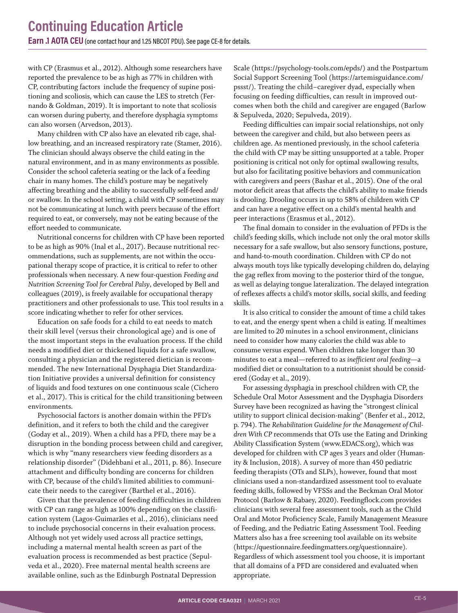with CP (Erasmus et al., 2012). Although some researchers have reported the prevalence to be as high as 77% in children with CP, contributing factors include the frequency of supine positioning and scoliosis, which can cause the LES to stretch (Fernando & Goldman, 2019). It is important to note that scoliosis can worsen during puberty, and therefore dysphagia symptoms can also worsen (Arvedson, 2013).

Many children with CP also have an elevated rib cage, shallow breathing, and an increased respiratory rate (Stamer, 2016). The clinician should always observe the child eating in the natural environment, and in as many environments as possible. Consider the school cafeteria seating or the lack of a feeding chair in many homes. The child's posture may be negatively affecting breathing and the ability to successfully self-feed and/ or swallow. In the school setting, a child with CP sometimes may not be communicating at lunch with peers because of the effort required to eat, or conversely, may not be eating because of the effort needed to communicate.

Nutritional concerns for children with CP have been reported to be as high as 90% (Inal et al., 2017). Because nutritional recommendations, such as supplements, are not within the occupational therapy scope of practice, it is critical to refer to other professionals when necessary. A new four-question *Feeding and Nutrition Screening Tool for Cerebral Palsy*, developed by Bell and colleagues (2019), is freely available for occupational therapy practitioners and other professionals to use. This tool results in a score indicating whether to refer for other services.

Education on safe foods for a child to eat needs to match their skill level (versus their chronological age) and is one of the most important steps in the evaluation process. If the child needs a modified diet or thickened liquids for a safe swallow, consulting a physician and the registered dietician is recommended. The new International Dysphagia Diet Standardization Initiative provides a universal definition for consistency of liquids and food textures on one continuous scale (Cichero et al., 2017). This is critical for the child transitioning between environments.

Psychosocial factors is another domain within the PFD's definition, and it refers to both the child and the caregiver (Goday et al., 2019). When a child has a PFD, there may be a disruption in the bonding process between child and caregiver, which is why "many researchers view feeding disorders as a relationship disorder" (Didehbani et al., 2011, p. 86). Insecure attachment and difficulty bonding are concerns for children with CP, because of the child's limited abilities to communicate their needs to the caregiver (Barthel et al., 2016).

Given that the prevalence of feeding difficulties in children with CP can range as high as 100% depending on the classification system (Lagos-Guimarães et al., 2016), clinicians need to include psychosocial concerns in their evaluation process. Although not yet widely used across all practice settings, including a maternal mental health screen as part of the evaluation process is recommended as best practice (Sepulveda et al., 2020). Free maternal mental health screens are available online, such as the Edinburgh Postnatal Depression

Scale (https://psychology-tools.com/epds/) and the Postpartum Social Support Screening Tool (https://artemisguidance.com/ pssst/). Treating the child–caregiver dyad, especially when focusing on feeding difficulties, can result in improved outcomes when both the child and caregiver are engaged (Barlow & Sepulveda, 2020; Sepulveda, 2019).

Feeding difficulties can impair social relationships, not only between the caregiver and child, but also between peers as children age. As mentioned previously, in the school cafeteria the child with CP may be sitting unsupported at a table. Proper positioning is critical not only for optimal swallowing results, but also for facilitating positive behaviors and communication with caregivers and peers (Bashar et al., 2015). One of the oral motor deficit areas that affects the child's ability to make friends is drooling. Drooling occurs in up to 58% of children with CP and can have a negative effect on a child's mental health and peer interactions (Erasmus et al., 2012).

The final domain to consider in the evaluation of PFDs is the child's feeding skills, which include not only the oral motor skills necessary for a safe swallow, but also sensory functions, posture, and hand-to-mouth coordination. Children with CP do not always mouth toys like typically developing children do, delaying the gag reflex from moving to the posterior third of the tongue, as well as delaying tongue lateralization. The delayed integration of reflexes affects a child's motor skills, social skills, and feeding skills.

It is also critical to consider the amount of time a child takes to eat, and the energy spent when a child is eating. If mealtimes are limited to 20 minutes in a school environment, clinicians need to consider how many calories the child was able to consume versus expend. When children take longer than 30 minutes to eat a meal—referred to as *inefficient oral feeding*—a modified diet or consultation to a nutritionist should be considered (Goday et al., 2019).

For assessing dysphagia in preschool children with CP, the Schedule Oral Motor Assessment and the Dysphagia Disorders Survey have been recognized as having the "strongest clinical utility to support clinical decision-making" (Benfer et al., 2012, p. 794). The *Rehabilitation Guideline for the Management of Children With CP* recommends that OTs use the Eating and Drinking Ability Classification System (www.EDACS.org), which was developed for children with CP ages 3 years and older (Humanity & Inclusion, 2018). A survey of more than 450 pediatric feeding therapists (OTs and SLPs), however, found that most clinicians used a non-standardized assessment tool to evaluate feeding skills, followed by VFSSs and the Beckman Oral Motor Protocol (Barlow & Rabaey, 2020). Feedingflock.com provides clinicians with several free assessment tools, such as the Child Oral and Motor Proficiency Scale, Family Management Measure of Feeding, and the Pediatric Eating Assessment Tool. Feeding Matters also has a free screening tool available on its website (https://questionnaire.feedingmatters.org/questionnaire). Regardless of which assessment tool you choose, it is important that all domains of a PFD are considered and evaluated when appropriate.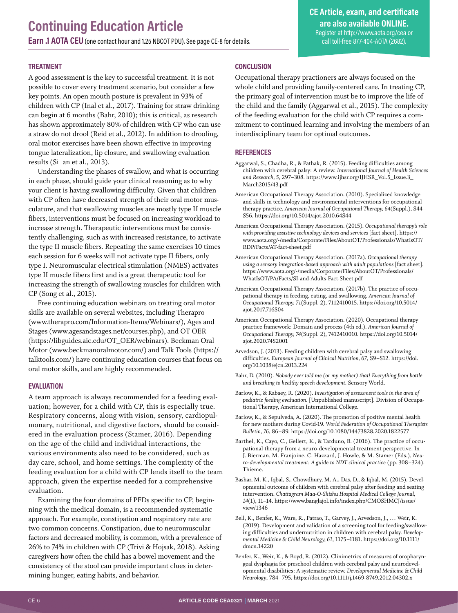#### **TREATMENT**

A good assessment is the key to successful treatment. It is not possible to cover every treatment scenario, but consider a few key points. An open mouth posture is prevalent in 93% of children with CP (Inal et al., 2017). Training for straw drinking can begin at 6 months (Bahr, 2010); this is critical, as research has shown approximately 80% of children with CP who can use a straw do not drool (Reid et al., 2012). In addition to drooling, oral motor exercises have been shown effective in improving tongue lateralization, lip closure, and swallowing evaluation results (Si an et al., 2013).

Understanding the phases of swallow, and what is occurring in each phase, should guide your clinical reasoning as to why your client is having swallowing difficulty. Given that children with CP often have decreased strength of their oral motor musculature, and that swallowing muscles are mostly type II muscle fibers, interventions must be focused on increasing workload to increase strength. Therapeutic interventions must be consistently challenging, such as with increased resistance, to activate the type II muscle fibers. Repeating the same exercises 10 times each session for 6 weeks will not activate type II fibers, only type I. Neuromuscular electrical stimulation (NMES) activates type II muscle fibers first and is a great therapeutic tool for increasing the strength of swallowing muscles for children with CP (Song et al., 2015).

Free continuing education webinars on treating oral motor skills are available on several websites, including Therapro (www.therapro.com/Information-Items/Webinars/), Ages and Stages (www.agesandstages.net/courses.php), and OT OER (https://libguides.aic.edu/OT\_OER/webinars). Beckman Oral Motor (www.beckmanoralmotor.com/) and Talk Tools (https:// talktools.com/) have continuing education courses that focus on oral motor skills, and are highly recommended.

#### **EVALUATION**

A team approach is always recommended for a feeding evaluation; however, for a child with CP, this is especially true. Respiratory concerns, along with vision, sensory, cardiopulmonary, nutritional, and digestive factors, should be considered in the evaluation process (Stamer, 2016). Depending on the age of the child and individual interactions, the various environments also need to be considered, such as day care, school, and home settings. The complexity of the feeding evaluation for a child with CP lends itself to the team approach, given the expertise needed for a comprehensive evaluation.

Examining the four domains of PFDs specific to CP, beginning with the medical domain, is a recommended systematic approach. For example, constipation and respiratory rate are two common concerns. Constipation, due to neuromuscular factors and decreased mobility, is common, with a prevalence of 26% to 74% in children with CP (Trivi & Hojsak, 2018). Asking caregivers how often the child has a bowel movement and the consistency of the stool can provide important clues in determining hunger, eating habits, and behavior.

#### **CONCLUSION**

Occupational therapy practioners are always focused on the whole child and providing family-centered care. In treating CP, the primary goal of intervention must be to improve the life of the child and the family (Aggarwal et al., 2015). The complexity of the feeding evaluation for the child with CP requires a commitment to continued learning and involving the members of an interdisciplinary team for optimal outcomes.

#### **REFERENCES**

- Aggarwal, S., Chadha, R., & Pathak, R. (2015). Feeding difficulties among children with cerebral palsy: A review. *International Journal of Health Sciences and Research, 5*, 297–308. [https://www.ijhsr.org/IJHSR\\_Vol.5\\_Issue.3\\_](https://www.ijhsr.org/IJHSR_Vol.5_Issue.3_March2015/43.pdf) [March2015/43.pdf](https://www.ijhsr.org/IJHSR_Vol.5_Issue.3_March2015/43.pdf)
- American Occupational Therapy Association. (2010). Specialized knowledge and skills in technology and environmental interventions for occupational therapy practice. *American Journal of Occupational Therapy, 64*(Suppl.), S44– S56. <https://doi.org/10.5014/ajot.2010.64S44>
- American Occupational Therapy Association. (2015). *Occupational therapy's role with providing assistive technology devices and services* [fact sheet]. [https://](https://www.aota.org/-/media/Corporate/Files/AboutOT/Professionals/WhatIsOT/RDP/Facts/AT-fact-sheet.pdf) [www.aota.org/-/media/Corporate/Files/AboutOT/Professionals/WhatIsOT/](https://www.aota.org/-/media/Corporate/Files/AboutOT/Professionals/WhatIsOT/RDP/Facts/AT-fact-sheet.pdf) [RDP/Facts/AT-fact-sheet.pdf](https://www.aota.org/-/media/Corporate/Files/AboutOT/Professionals/WhatIsOT/RDP/Facts/AT-fact-sheet.pdf)
- American Occupational Therapy Association. (2017a). *Occupational therapy using a sensory integration-based approach with adult populations* [fact sheet]. [https://www.aota.org/-/media/Corporate/Files/AboutOT/Professionals/](https://www.aota.org/-/media/Corporate/Files/AboutOT/Professionals/WhatIsOT/PA/Facts/SI-and-Adults-Fact-Sheet.pdf) [WhatIsOT/PA/Facts/SI-and-Adults-Fact-Sheet.pdf](https://www.aota.org/-/media/Corporate/Files/AboutOT/Professionals/WhatIsOT/PA/Facts/SI-and-Adults-Fact-Sheet.pdf)
- American Occupational Therapy Association. (2017b). The practice of occupational therapy in feeding, eating, and swallowing. *American Journal of Occupational Therapy, 71*(Suppl. 2), 7112410015. [https://doi.org/10.5014/](https://doi.org/10.5014/ajot.2017.716S04) [ajot.2017.716S04](https://doi.org/10.5014/ajot.2017.716S04)
- American Occupational Therapy Association. (2020). Occupational therapy practice framework: Domain and process (4th ed.). *American Journal of Occupational Therapy, 74*(Suppl. 2), 7412410010. [https://doi.org/10.5014/](https://doi.org/10.5014/ajot.2020.74S2001) [ajot.2020.74S2001](https://doi.org/10.5014/ajot.2020.74S2001)
- Arvedson, J. (2013). Feeding children with cerebral palsy and swallowing difficulties. *European Journal of Clinical Nutrition, 67*, S9–S12. [https://doi.](https://doi.org/10.1038/ejcn.2013.224) [org/10.1038/ejcn.2013.224](https://doi.org/10.1038/ejcn.2013.224)
- Bahr, D. (2010). *Nobody ever told me (or my mother) that! Everything from bottle and breathing to healthy speech development*. Sensory World.
- Barlow, K., & Rabaey, R. (2020). *Investigation of assessment tools in the area of pediatric feeding evaluation*. [Unpublished manuscript]. Division of Occupational Therapy, American International College.
- Barlow, K., & Sepulveda, A. (2020). The promotion of positive mental health for new mothers during Covid-19. *World Federation of Occupational Therapists Bulletin, 76*, 86–89. <https://doi.org/10.1080/14473828.2020.1822577>
- Barthel, K., Cayo, C., Gellert, K., & Tarduno, B. (2016). The practice of occupational therapy from a neuro-developmental treatment perspective. In J. Bierman, M. Franjoine, C. Hazzard, J. Howle, & M. Stamer (Eds.), *Neuro-developmental treatment: A guide to NDT clinical practice* (pp. 308–324). Thieme.
- Bashar, M. K., Iqbal, S., Chowdhury, M. A., Das, D., & Iqbal, M. (2015). Developmental outcome of children with cerebral palsy after feeding and seating intervention. *Chattagram Maa-O-Shishu Hospital Medical College Journal, 14*(1), 11–14. [https://www.banglajol.info/index.php/CMOSHMCJ/issue/](https://www.banglajol.info/index.php/CMOSHMCJ/issue/view/1346) [view/1346](https://www.banglajol.info/index.php/CMOSHMCJ/issue/view/1346)
- Bell, K., Benfer, K., Ware, R., Patrao, T., Garvey, J., Arvedson, J., … Weir, K. (2019). Development and validation of a screening tool for feeding/swallowing difficulties and undernutrition in children with cerebral palsy. *Developmental Medicine & Child Neurology, 61*, 1175–1181. [https://doi.org/10.1111/](https://doi.org/10.1111/dmcn.14220) [dmcn.14220](https://doi.org/10.1111/dmcn.14220)
- Benfer, K., Weir, K., & Boyd, R. (2012). Clinimetrics of measures of oropharyngeal dysphagia for preschool children with cerebral palsy and neurodevelopmental disabilities: A systematic review. *Developmental Medicine & Child Neurology*, 784–795.<https://doi.org/10.1111/j.1469-8749.2012.04302.x>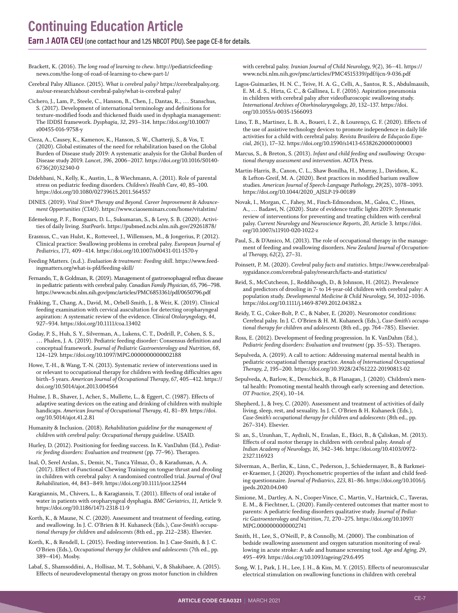**Earn .1 AOTA CEU**(one contact hour and 1.25 NBCOT PDU). [See page CE-8 for details](#page-7-0).

- Brackett, K. (2016). *The long road of learning to chew*. [http://pediatricfeeding](http://pediatricfeedingnews.com/the-long-of-road-of-learning-to-chew-part-1/)[news.com/the-long-of-road-of-learning-to-chew-part-1/](http://pediatricfeedingnews.com/the-long-of-road-of-learning-to-chew-part-1/)
- Cerebral Palsy Alliance. (2015). *What is cerebral palsy?* [https://cerebralpalsy.org.](https://cerebralpalsy.org.au/our-research/about-cerebral-palsy/what-is-cerebral-palsy/) [au/our-research/about-cerebral-palsy/what-is-cerebral-palsy/](https://cerebralpalsy.org.au/our-research/about-cerebral-palsy/what-is-cerebral-palsy/)

Cichero, J., Lam, P., Steele, C., Hanson, B., Chen, J., Dantas, R., … Stanschus, S. (2017). Development of international terminology and definitions for texture-modified foods and thickened fluids used in dysphagia management: The IDDSI framework. *Dysphagia, 32*, 293–314. [https://doi.org/10.1007/](https://doi.org/10.1007/s00455-016-9758-y) [s00455-016-9758-y](https://doi.org/10.1007/s00455-016-9758-y)

- Cieza, A., Causey, K., Kamenov, K., Hanson, S. W., Chatterji, S., & Vos, T. (2020). Global estimates of the need for rehabilitation based on the Global Burden of Disease study 2019: A systematic analysis for the Global Burden of Disease study 2019. *Lancet, 396*, 2006–2017. [https://doi.org/10.1016/S0140-](https://doi.org/10.1016/S0140-6736(20)32340-0) [6736\(20\)32340-0](https://doi.org/10.1016/S0140-6736(20)32340-0)
- Didehbani, N., Kelly, K., Austin, L., & Wiechmann, A. (2011). Role of parental stress on pediatric feeding disorders. *Children's Health Care, 40*, 85–100. <https://doi.org/10.1080/02739615.2011.564557>

DINES. (2019). *Vital Stim® Therapy and Beyond. Career Improvement & Advancement Opportunities (CIAO)*. <https://www.ciaoseminars.com/home/vitalstim/>

Edemekong, P. F., Bomgaars, D. L., Sukumaran, S., & Levy, S. B. (2020). Activities of daily living. *StatPearls*.<https://pubmed.ncbi.nlm.nih.gov/29261878/>

Erasmus, C., van Hulst, K., Rotteveel, J., Willemsen, M., & Jongerius, P. (2012). Clinical practice: Swallowing problems in cerebral palsy. *European Journal of Pediatrics, 171*, 409–414.<https://doi.org/10.1007/s00431-011-1570-y>

Feeding Matters. (n.d.). *Evaluation & treatment: Feeding skill*. [https://www.feed](https://www.feedingmatters.org/what-is-pfd/feeding-skill/)[ingmatters.org/what-is-pfd/feeding-skill/](https://www.feedingmatters.org/what-is-pfd/feeding-skill/)

Fernando, T., & Goldman, R. (2019). Management of gastroesophageal reflux disease in pediatric patients with cerebral palsy. *Canadian Family Physician, 65*, 796–798. <https://www.ncbi.nlm.nih.gov/pmc/articles/PMC6853361/pdf/0650796.pdf>

Frakking, T., Chang, A., David, M., Orbell-Smith, J., & Weir, K. (2019). Clinical feeding examination with cervical auscultation for detecting oropharyngeal aspiration: A systematic review of the evidence. *Clinical Otolaryngology, 44*, 927–934.<https://doi.org/10.1111/coa.13402>

Goday, P. S., Huh, S. Y., Silverman, A., Lukens, C. T., Dodrill, P., Cohen, S. S., … Phalen, J. A. (2019). Pediatric feeding disorder: Consensus definition and conceptual framework. *Journal of Pediatric Gastroenterology and Nutrition, 68*, 124–129.<https://doi.org/10.1097/MPG.0000000000002188>

Howe, T.-H., & Wang, T.-N. (2013). Systematic review of interventions used in or relevant to occupational therapy for children with feeding difficulties ages birth–5 years. *American Journal of Occupational Therapy, 67*, 405–412. [https://](https://doi.org/10.5014/ajot.2013.004564) [doi.org/10.5014/ajot.2013.004564](https://doi.org/10.5014/ajot.2013.004564) 

Hulme, J. B., Shaver, J., Acher, S., Mullette, L., & Eggert, C. (1987). Effects of adaptive seating devices on the eating and drinking of children with multiple handicaps. *American Journal of Occupational Therapy, 41*, 81–89. [https://doi.](https://doi.org/10.5014/ajot.41.2.81) [org/10.5014/ajot.41.2.81](https://doi.org/10.5014/ajot.41.2.81) 

- Humanity & Inclusion. (2018). *Rehabilitation guideline for the management of children with cerebral palsy: Occupational therapy guideline*. USAID.
- Hurley, D. (2012). Positioning for feeding success. In K. VanDahm (Ed.), *Pediatric feeding disorders: Evaluation and treatment* (pp. 77–96). Therapro.

Inal, Ö, Serel Arslan, S., Demir, N., Tunca Yilmaz, Ö., & Karaduman, A. A. (2017). Effect of Functional Chewing Training on tongue thrust and drooling in children with cerebral palsy: A randomised controlled trial. *Journal of Oral Rehabilitation, 44*, 843–849.<https://doi.org/10.1111/joor.12544>

Karagiannis, M., Chivers, L., & Karagiannis, T. (2011). Effects of oral intake of water in patients with oropharyngeal dysphagia. *BMC Geriatrics, 11*, Article 9. <https://doi.org/10.1186/1471-2318-11-9>

Korth, K., & Maune, N. C. (2020). Assessment and treatment of feeding, eating, and swallowing. In J. C. O'Brien & H. Kuhaneck (Eds.), *Case-Smith's occupational therapy for children and adolescents* (8th ed., pp. 212–238). Elsevier.

Korth, K., & Rendell, L. (2015). Feeding intervention. In J. Case-Smith, & J. C. O'Brien (Eds.), *Occupational therapy for children and adolescents* (7th ed., pp. 389–414). Mosby.

Labaf, S., Shamsoddini, A., Hollisaz, M. T., Sobhani, V., & Shakibaee, A. (2015). Effects of neurodevelopmental therapy on gross motor function in children

with cerebral palsy. *Iranian Journal of Child Neurology, 9*(2), 36–41. [https://](https://www.ncbi.nlm.nih.gov/pmc/articles/PMC4515339/pdf/ijcn-9-036.pdf) [www.ncbi.nlm.nih.gov/pmc/articles/PMC4515339/pdf/ijcn-9-036.pdf](https://www.ncbi.nlm.nih.gov/pmc/articles/PMC4515339/pdf/ijcn-9-036.pdf)

Lagos-Guimarães, H. N. C., Teive, H. A. G., Celli, A., Santos, R. S., Abdulmassih, E. M. d. S., Hirta, G. C., & Gallinea, L. F. (2016). Aspiration pneumonia in children with cerebral palsy after videofluroscopic swallowing study. *International Archives of Otorhinolaryngology, 20*, 132–137. [https://doi.](https://doi.org/10.1055/s-0035-1566093) [org/10.1055/s-0035-1566093](https://doi.org/10.1055/s-0035-1566093)

Lino, T. B., Martinez, L. B. A., Boueri, I. Z., & Lourenço, G. F. (2020). Effects of the use of assistive technology devices to promote independence in daily life activities for a child with cerebral palsy. *Revista Brasileira de Eduçacão Especial, 26*(1), 17–32. <https://doi.org/10.1590/s1413-65382620000100003>

- Marcus, S., & Breton, S. (2013). *Infant and child feeding and swallowing: Occupational therapy assessment and intervention*. AOTA Press.
- Martin-Harris, B., Canon, C. L., Shaw Bonilha, H., Murray, J., Davidson, K., & Lefton-Greif, M. A. (2020). Best practices in modified barium swallow studies. *American Journal of Speech-Language Pathology, 29*(2S), 1078–1093. [https://doi.org/10.1044/2020\\_AJSLP-19-00189](https://doi.org/10.1044/2020_AJSLP-19-00189)

Novak, I., Morgan, C., Fahey, M., Finch-Edmondson, M., Galea, C., Hines, A., … Badawi, N. (2020). State of evidence traffic lights 2019: Systematic review of interventions for preventing and treating children with cerebral palsy. *Current Neurology and Neuroscience Reports, 20,* Article 3. [https://doi.](https://doi.org/10.1007/s11910-020-1022-z) [org/10.1007/s11910-020-1022-z](https://doi.org/10.1007/s11910-020-1022-z)

Paul, S., & D'Amico, M. (2013). The role of occupational therapy in the management of feeding and swallowing disorders. *New Zealand Journal of Occupational Therapy, 62*(2), 27–31.

Poinsett, P. M. (2020). *Cerebral palsy facts and statistics*. [https://www.cerebralpal](https://www.cerebralpalsyguidance.com/cerebral-palsy/research/facts-and-statistics/)[syguidance.com/cerebral-palsy/research/facts-and-statistics/](https://www.cerebralpalsyguidance.com/cerebral-palsy/research/facts-and-statistics/)

Reid, S., McCutcheon, J., Reddihough, D., & Johnson, H. (2012). Prevalence and predictors of drooling in 7- to 14-year-old children with cerebral palsy: A population study. *Developmental Medicine & Child Neurology, 54*, 1032–1036. <https://doi.org/10.1111/j.1469-8749.2012.04382.x>

Reidy, T. G., Coker-Bolt, P. C., & Naber, E. (2020). Neuromotor conditions: Cerebral palsy. In J. C. O'Brien & H. M. Kuhaneck (Eds.), *Case-Smith's occupational therapy for children and adolescents* (8th ed., pp. 764–785). Elsevier.

Ross, E. (2012). Development of feeding progression. In K. VanDahm (Ed.), *Pediatric feeding disorders: Evaluation and treatment* (pp. 35–53). Therapro.

Sepulveda, A. (2019). A call to action: Addressing maternal mental health in pediatric occupational therapy practice. *Annals of International Occupational Therapy, 2*, 195–200.<https://doi.org/10.3928/24761222-20190813-02>

Sepulveda, A, Barlow, K., Demchick, B., & Flanagan, J. (2020). Children's mental health: Promoting mental health through early screening and detection. *OT Practice, 25*(4), 10–14.

Shepherd, J., & Ivey, C. (2020). Assessment and treatment of activities of daily living, sleep, rest, and sexuality. In J. C. O'Brien & H. Kuhaneck (Eds.), *Case-Smith's occupational therapy for children and adolescents* (8th ed., pp. 267–314). Elsevier.

Si an, S., Uzunhan, T., Aydinli, N., Eraslan, E., Ekici, B., & Çaliskan, M. (2013). Effects of oral motor therapy in children with cerebral palsy. *Annals of Indian Academy of Neurology, 16*, 342–346. [https://doi.org/10.4103/0972-](https://doi.org/10.4103/0972-2327.116923) [2327.116923](https://doi.org/10.4103/0972-2327.116923)

Silverman, A., Berlin, K., Linn, C., Pederson, J., Schiedermayer, B., & Barkmeier-Kraemer, J. (2020). Psyochometric properties of the infant and child feeding questionnaire. *Journal of Pediatrics*, *223,* 81–86. [https://doi.org/10.1016/j.](https://doi.org/10.1016/j.jpeds.2020.04.040) [jpeds.2020.04.040](https://doi.org/10.1016/j.jpeds.2020.04.040)

Simione, M., Dartley, A. N., Cooper-Vince, C., Martin, V., Hartnick, C., Taveras, E. M., & Fiechtner, L. (2020). Family-centered outcomes that matter most to parents: A pediatric feeding disorders qualitative study*. Journal of Pediatric Gastroenterology and Nutrition, 71,* 270–275. [https://doi.org/10.1097/](https://doi.org/10.1097/MPG.0000000000002741) [MPG.0000000000002741](https://doi.org/10.1097/MPG.0000000000002741)

Smith, H., Lee, S., O'Neill, P., & Connolly, M. (2000). The combination of bedside swallowing assessment and oxygen saturation monitoring of swallowing in acute stroke: A safe and humane screening tool. *Age and Aging, 29*, 495–499.<https://doi.org/10.1093/ageing/29.6.495>

Song, W. J., Park, J. H., Lee, J. H., & Kim, M. Y. (2015). Effects of neuromuscular electrical stimulation on swallowing functions in children with cerebral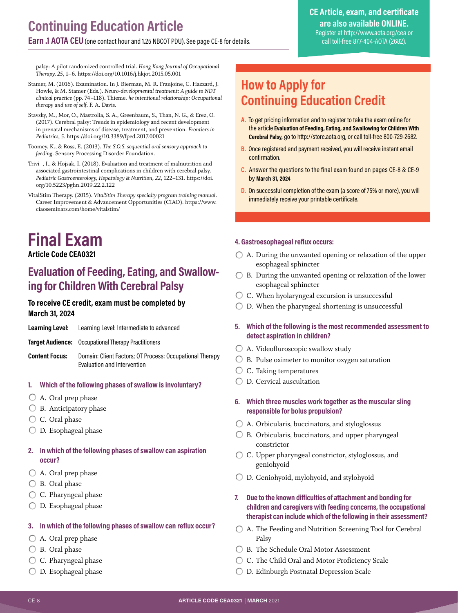<span id="page-7-0"></span>**Earn .1 AOTA CEU**(one contact hour and 1.25 NBCOT PDU). See page CE-8 for details.

#### **CE Article, exam, and certificate are also available ONLINE.** Register at<http://www.aota.org/cea> or call toll-free 877-404-AOTA (2682).

palsy: A pilot randomized controlled trial. *Hong Kong Journal of Occupational Therapy, 25*, 1–6.<https://doi.org/10.1016/j.hkjot.2015.05.001>

- Stamer, M. (2016). Examination. In J. Bierman, M. R. Franjoine, C. Hazzard, J. Howle, & M. Stamer (Eds.). *Neuro-developmental treatment: A guide to NDT clinical practice* (pp. 74–118). Thieme. *he intentional relationship: Occupational therapy and use of self*. F. A. Davis.
- Stavsky, M., Mor, O., Mastrolia, S. A., Greenbaum, S., Than, N. G., & Erez, O. (2017). Cerebral palsy: Trends in epidemiology and recent development in prenatal mechanisms of disease, treatment, and prevention. *Frontiers in Pediatrics, 5*.<https://doi.org/10.3389/fped.2017.00021>
- Toomey, K., & Ross, E. (2013). *The S.O.S. sequential oral sensory approach to feeding*. Sensory Processing Disorder Foundation.
- Trivi, I., & Hojsak, I. (2018). Evaluation and treatment of malnutrition and associated gastrointestinal complications in children with cerebral palsy. *Pediatric Gastroenterology, Hepatology & Nutrition, 22*, 122–131. [https://doi.](https://doi.org/10.5223/pghn.2019.22.2.122) [org/10.5223/pghn.2019.22.2.122](https://doi.org/10.5223/pghn.2019.22.2.122)
- VitalStim Therapy. (2015). *VitalStim Therapy specialty program training manual*. Career Improvement & Advancement Opportunities (CIAO). [https://www.](https://www.ciaoseminars.com/home/vitalstim/) [ciaoseminars.com/home/vitalstim/](https://www.ciaoseminars.com/home/vitalstim/)

## **Final Exam**

#### **Article Code CEA0321**

### **Evaluation of Feeding, Eating, and Swallowing for Children With Cerebral Palsy**

#### **To receive CE credit, exam must be completed by March 31, 2024**

| Learning Level:       | Learning Level: Intermediate to advanced                                                |
|-----------------------|-----------------------------------------------------------------------------------------|
|                       | <b>Target Audience:</b> Occupational Therapy Practitioners                              |
| <b>Content Focus:</b> | Domain: Client Factors; OT Process: Occupational Therapy<br>Evaluation and Intervention |

#### **1. Which of the following phases of swallow is involuntary?**

- $\bigcirc$  A. Oral prep phase
- $\bigcirc$  B. Anticipatory phase
- C. Oral phase
- $\bigcirc$  D. Esophageal phase

#### **2. In which of the following phases of swallow can aspiration occur?**

- A. Oral prep phase
- B. Oral phase
- C. Pharyngeal phase
- D. Esophageal phase

#### **3. In which of the following phases of swallow can reflux occur?**

- $\bigcirc$  A. Oral prep phase
- B. Oral phase
- C. Pharyngeal phase
- D. Esophageal phase

## **How to Apply for Continuing Education Credit**

- **A.** To get pricing information and to register to take the exam online for the article **Evaluation of Feeding, Eating, and Swallowing for Children With Cerebral Palsy,** go to http://store.aota.org, or call toll-free 800-729-2682.
- **B.** Once registered and payment received, you will receive instant email confirmation.
- **C.** Answer the questions to the final exam found on pages CE-8 & CE-9 by **March 31, 2024**
- **D.** On successful completion of the exam (a score of 75% or more), you will immediately receive your printable certificate.

#### **4. Gastroesophageal reflux occurs:**

- $\bigcirc$  A. During the unwanted opening or relaxation of the upper esophageal sphincter
- $\bigcirc$  B. During the unwanted opening or relaxation of the lower esophageal sphincter
- $\circlearrowright$  C. When hyolaryngeal excursion is unsuccessful
- $\bigcirc$  D. When the pharyngeal shortening is unsuccessful
- **5. Which of the following is the most recommended assessment to detect aspiration in children?**
- A. Videofluroscopic swallow study
- $\bigcirc$  B. Pulse oximeter to monitor oxygen saturation
- C. Taking temperatures
- D. Cervical auscultation

#### **6. Which three muscles work together as the muscular sling responsible for bolus propulsion?**

- A. Orbicularis, buccinators, and styloglossus
- $\bigcirc$  B. Orbicularis, buccinators, and upper pharyngeal constrictor
- C. Upper pharyngeal constrictor, styloglossus, and geniohyoid
- D. Geniohyoid, mylohyoid, and stylohyoid
- **7. Due to the known difficulties of attachment and bonding for children and caregivers with feeding concerns, the occupational therapist can include which of the following in their assessment?**
- A. The Feeding and Nutrition Screening Tool for Cerebral Palsy
- B. The Schedule Oral Motor Assessment
- C. The Child Oral and Motor Proficiency Scale
- D. Edinburgh Postnatal Depression Scale